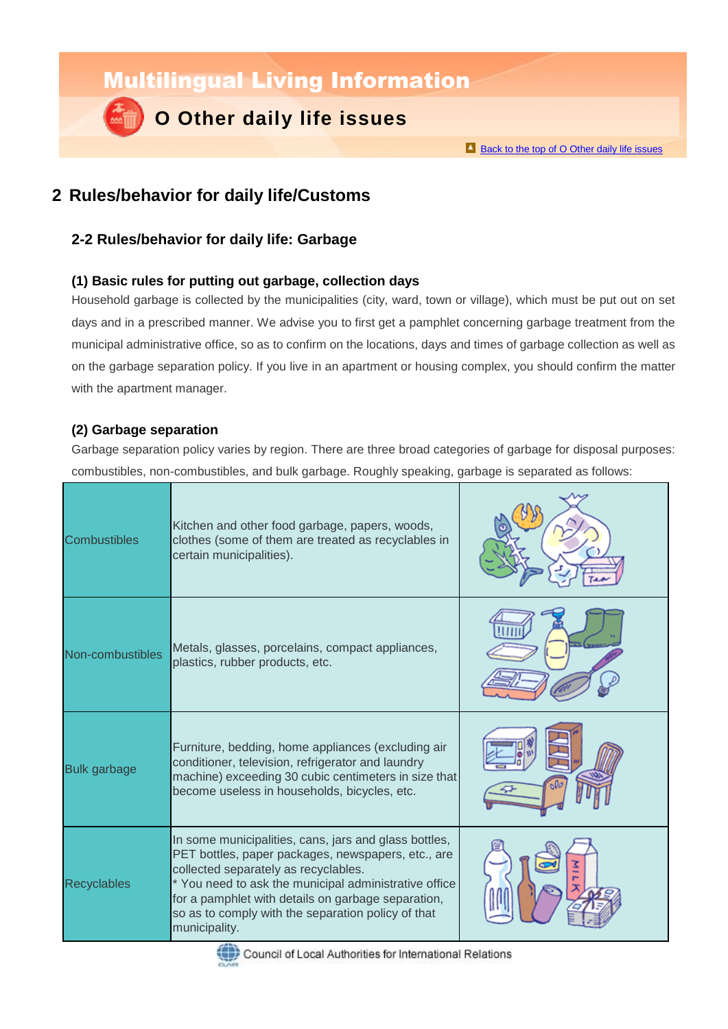Multilingual Living Information

# **O Other daily life issues**

Back to the top of O [Other daily life issues](http://www.clair.or.jp/tagengorev/en/o/index.html)

### **2 Rules/behavior for daily life/Customs**

### **2-2 Rules/behavior for daily life: Garbage**

### **(1) Basic rules for putting out garbage, collection days**

Household garbage is collected by the municipalities (city, ward, town or village), which must be put out on set days and in a prescribed manner. We advise you to first get a pamphlet concerning garbage treatment from the municipal administrative office, so as to confirm on the locations, days and times of garbage collection as well as on the garbage separation policy. If you live in an apartment or housing complex, you should confirm the matter with the apartment manager.

### **(2) Garbage separation**

Garbage separation policy varies by region. There are three broad categories of garbage for disposal purposes: combustibles, non-combustibles, and bulk garbage. Roughly speaking, garbage is separated as follows:

| <b>Combustibles</b> | Kitchen and other food garbage, papers, woods,<br>clothes (some of them are treated as recyclables in<br>certain municipalities).                                                                                                                                                                                                         |  |
|---------------------|-------------------------------------------------------------------------------------------------------------------------------------------------------------------------------------------------------------------------------------------------------------------------------------------------------------------------------------------|--|
| Non-combustibles    | Metals, glasses, porcelains, compact appliances,<br>plastics, rubber products, etc.                                                                                                                                                                                                                                                       |  |
| <b>Bulk garbage</b> | Furniture, bedding, home appliances (excluding air<br>conditioner, television, refrigerator and laundry<br>machine) exceeding 30 cubic centimeters in size that<br>become useless in households, bicycles, etc.                                                                                                                           |  |
| <b>Recyclables</b>  | In some municipalities, cans, jars and glass bottles,<br>PET bottles, paper packages, newspapers, etc., are<br>collected separately as recyclables.<br>* You need to ask the municipal administrative office<br>for a pamphlet with details on garbage separation,<br>so as to comply with the separation policy of that<br>municipality. |  |